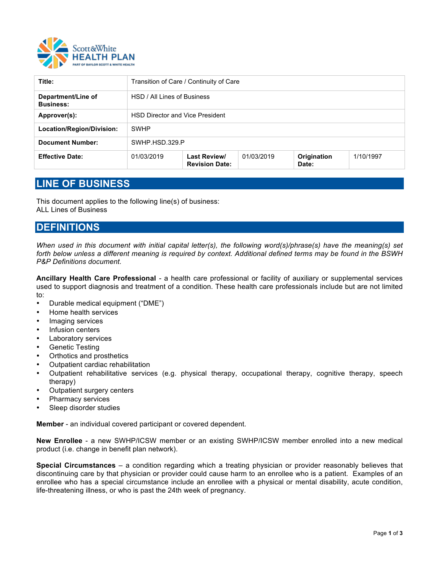

| Title:                                 | Transition of Care / Continuity of Care |                                       |            |                      |           |
|----------------------------------------|-----------------------------------------|---------------------------------------|------------|----------------------|-----------|
| Department/Line of<br><b>Business:</b> | HSD / All Lines of Business             |                                       |            |                      |           |
| Approver(s):                           | <b>HSD Director and Vice President</b>  |                                       |            |                      |           |
| Location/Region/Division:              | <b>SWHP</b>                             |                                       |            |                      |           |
| <b>Document Number:</b>                | SWHP.HSD.329.P                          |                                       |            |                      |           |
| <b>Effective Date:</b>                 | 01/03/2019                              | Last Review/<br><b>Revision Date:</b> | 01/03/2019 | Origination<br>Date: | 1/10/1997 |

# **LINE OF BUSINESS**

This document applies to the following line(s) of business: ALL Lines of Business

### **DEFINITIONS**

*When used in this document with initial capital letter(s), the following word(s)/phrase(s) have the meaning(s) set forth below unless a different meaning is required by context. Additional defined terms may be found in the BSWH P&P Definitions document.* 

**Ancillary Health Care Professional** *-* a health care professional or facility of auxiliary or supplemental services used to support diagnosis and treatment of a condition. These health care professionals include but are not limited to:

- Durable medical equipment ("DME")
- Home health services
- Imaging services
- Infusion centers
- Laboratory services
- Genetic Testing
- Orthotics and prosthetics
- Outpatient cardiac rehabilitation
- Outpatient rehabilitative services (e.g. physical therapy, occupational therapy, cognitive therapy, speech therapy)
- Outpatient surgery centers
- Pharmacy services
- Sleep disorder studies

**Member** - an individual covered participant or covered dependent.

**New Enrollee** - a new SWHP/ICSW member or an existing SWHP/ICSW member enrolled into a new medical product (i.e. change in benefit plan network).

**Special Circumstances** – a condition regarding which a treating physician or provider reasonably believes that discontinuing care by that physician or provider could cause harm to an enrollee who is a patient. Examples of an enrollee who has a special circumstance include an enrollee with a physical or mental disability, acute condition, life-threatening illness, or who is past the 24th week of pregnancy.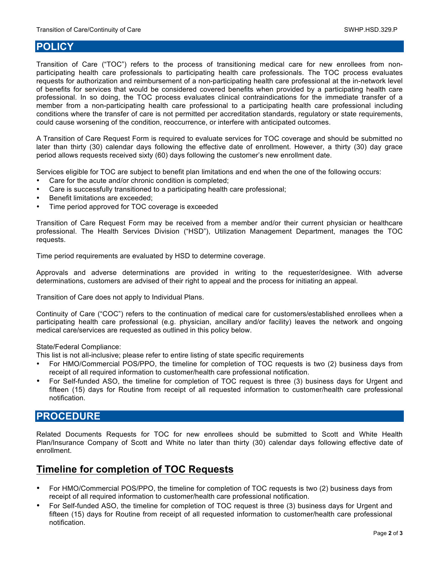## **POLICY**

Transition of Care ("TOC") refers to the process of transitioning medical care for new enrollees from nonparticipating health care professionals to participating health care professionals. The TOC process evaluates requests for authorization and reimbursement of a non-participating health care professional at the in-network level of benefits for services that would be considered covered benefits when provided by a participating health care professional. In so doing, the TOC process evaluates clinical contraindications for the immediate transfer of a member from a non-participating health care professional to a participating health care professional including conditions where the transfer of care is not permitted per accreditation standards, regulatory or state requirements, could cause worsening of the condition, reoccurrence, or interfere with anticipated outcomes.

A Transition of Care Request Form is required to evaluate services for TOC coverage and should be submitted no later than thirty (30) calendar days following the effective date of enrollment. However, a thirty (30) day grace period allows requests received sixty (60) days following the customer's new enrollment date.

Services eligible for TOC are subject to benefit plan limitations and end when the one of the following occurs:

- Care for the acute and/or chronic condition is completed;
- Care is successfully transitioned to a participating health care professional;
- Benefit limitations are exceeded;
- Time period approved for TOC coverage is exceeded

Transition of Care Request Form may be received from a member and/or their current physician or healthcare professional. The Health Services Division ("HSD"), Utilization Management Department, manages the TOC requests.

Time period requirements are evaluated by HSD to determine coverage.

Approvals and adverse determinations are provided in writing to the requester/designee. With adverse determinations, customers are advised of their right to appeal and the process for initiating an appeal.

Transition of Care does not apply to Individual Plans.

Continuity of Care ("COC") refers to the continuation of medical care for customers/established enrollees when a participating health care professional (e.g. physician, ancillary and/or facility) leaves the network and ongoing medical care/services are requested as outlined in this policy below.

State/Federal Compliance:

This list is not all-inclusive; please refer to entire listing of state specific requirements

- For HMO/Commercial POS/PPO, the timeline for completion of TOC requests is two (2) business days from receipt of all required information to customer/health care professional notification.
- For Self-funded ASO, the timeline for completion of TOC request is three (3) business days for Urgent and fifteen (15) days for Routine from receipt of all requested information to customer/health care professional notification.

## **PROCEDURE**

Related Documents Requests for TOC for new enrollees should be submitted to Scott and White Health Plan/Insurance Company of Scott and White no later than thirty (30) calendar days following effective date of enrollment.

### **Timeline for completion of TOC Requests**

- For HMO/Commercial POS/PPO, the timeline for completion of TOC requests is two (2) business days from receipt of all required information to customer/health care professional notification.
- For Self-funded ASO, the timeline for completion of TOC request is three (3) business days for Urgent and fifteen (15) days for Routine from receipt of all requested information to customer/health care professional notification.